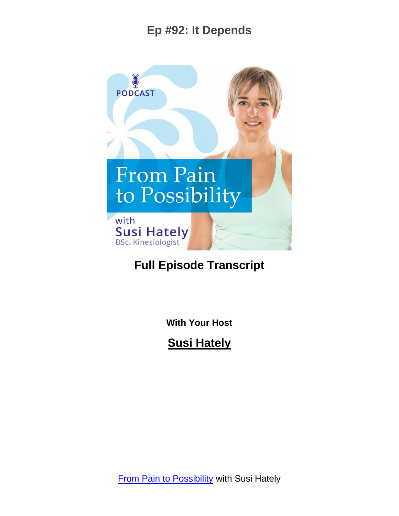

### **Full Episode Transcript**

**With Your Host**

**Susi Hately**

**[From Pain to Possibility](https://www.functionalsynergy.com/podcast/) with Susi Hately**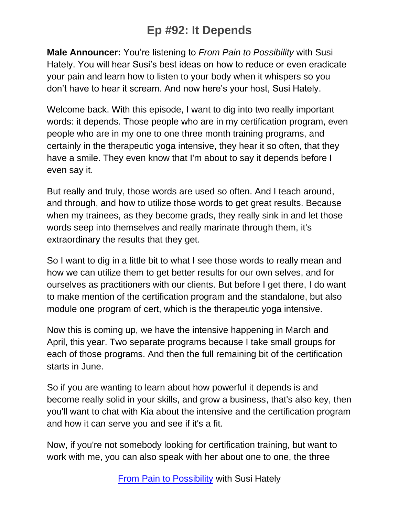**Male Announcer:** You're listening to *From Pain to Possibility* with Susi Hately. You will hear Susi's best ideas on how to reduce or even eradicate your pain and learn how to listen to your body when it whispers so you don't have to hear it scream. And now here's your host, Susi Hately.

Welcome back. With this episode, I want to dig into two really important words: it depends. Those people who are in my certification program, even people who are in my one to one three month training programs, and certainly in the therapeutic yoga intensive, they hear it so often, that they have a smile. They even know that I'm about to say it depends before I even say it.

But really and truly, those words are used so often. And I teach around, and through, and how to utilize those words to get great results. Because when my trainees, as they become grads, they really sink in and let those words seep into themselves and really marinate through them, it's extraordinary the results that they get.

So I want to dig in a little bit to what I see those words to really mean and how we can utilize them to get better results for our own selves, and for ourselves as practitioners with our clients. But before I get there, I do want to make mention of the certification program and the standalone, but also module one program of cert, which is the therapeutic yoga intensive.

Now this is coming up, we have the intensive happening in March and April, this year. Two separate programs because I take small groups for each of those programs. And then the full remaining bit of the certification starts in June.

So if you are wanting to learn about how powerful it depends is and become really solid in your skills, and grow a business, that's also key, then you'll want to chat with Kia about the intensive and the certification program and how it can serve you and see if it's a fit.

Now, if you're not somebody looking for certification training, but want to work with me, you can also speak with her about one to one, the three

[From Pain to Possibility](https://www.functionalsynergy.com/podcast/) with Susi Hately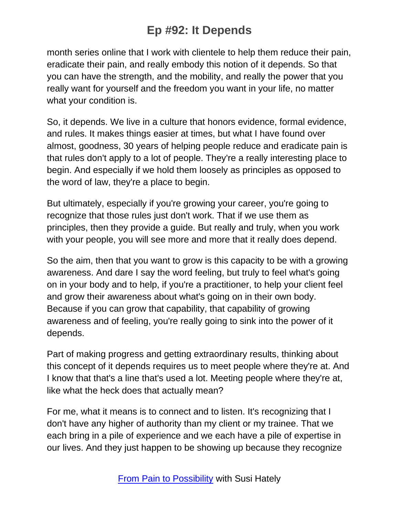month series online that I work with clientele to help them reduce their pain, eradicate their pain, and really embody this notion of it depends. So that you can have the strength, and the mobility, and really the power that you really want for yourself and the freedom you want in your life, no matter what your condition is.

So, it depends. We live in a culture that honors evidence, formal evidence, and rules. It makes things easier at times, but what I have found over almost, goodness, 30 years of helping people reduce and eradicate pain is that rules don't apply to a lot of people. They're a really interesting place to begin. And especially if we hold them loosely as principles as opposed to the word of law, they're a place to begin.

But ultimately, especially if you're growing your career, you're going to recognize that those rules just don't work. That if we use them as principles, then they provide a guide. But really and truly, when you work with your people, you will see more and more that it really does depend.

So the aim, then that you want to grow is this capacity to be with a growing awareness. And dare I say the word feeling, but truly to feel what's going on in your body and to help, if you're a practitioner, to help your client feel and grow their awareness about what's going on in their own body. Because if you can grow that capability, that capability of growing awareness and of feeling, you're really going to sink into the power of it depends.

Part of making progress and getting extraordinary results, thinking about this concept of it depends requires us to meet people where they're at. And I know that that's a line that's used a lot. Meeting people where they're at, like what the heck does that actually mean?

For me, what it means is to connect and to listen. It's recognizing that I don't have any higher of authority than my client or my trainee. That we each bring in a pile of experience and we each have a pile of expertise in our lives. And they just happen to be showing up because they recognize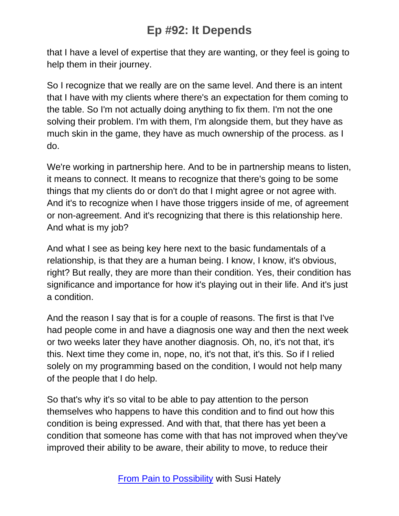that I have a level of expertise that they are wanting, or they feel is going to help them in their journey.

So I recognize that we really are on the same level. And there is an intent that I have with my clients where there's an expectation for them coming to the table. So I'm not actually doing anything to fix them. I'm not the one solving their problem. I'm with them, I'm alongside them, but they have as much skin in the game, they have as much ownership of the process. as I do.

We're working in partnership here. And to be in partnership means to listen, it means to connect. It means to recognize that there's going to be some things that my clients do or don't do that I might agree or not agree with. And it's to recognize when I have those triggers inside of me, of agreement or non-agreement. And it's recognizing that there is this relationship here. And what is my job?

And what I see as being key here next to the basic fundamentals of a relationship, is that they are a human being. I know, I know, it's obvious, right? But really, they are more than their condition. Yes, their condition has significance and importance for how it's playing out in their life. And it's just a condition.

And the reason I say that is for a couple of reasons. The first is that I've had people come in and have a diagnosis one way and then the next week or two weeks later they have another diagnosis. Oh, no, it's not that, it's this. Next time they come in, nope, no, it's not that, it's this. So if I relied solely on my programming based on the condition, I would not help many of the people that I do help.

So that's why it's so vital to be able to pay attention to the person themselves who happens to have this condition and to find out how this condition is being expressed. And with that, that there has yet been a condition that someone has come with that has not improved when they've improved their ability to be aware, their ability to move, to reduce their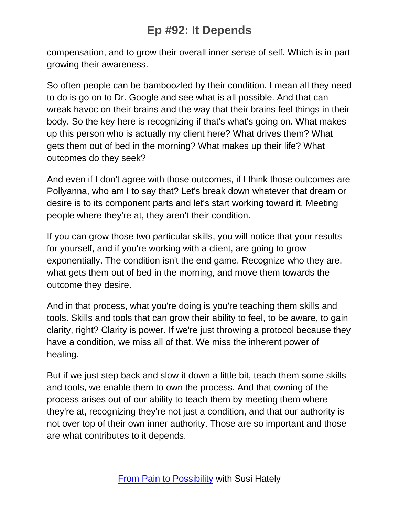compensation, and to grow their overall inner sense of self. Which is in part growing their awareness.

So often people can be bamboozled by their condition. I mean all they need to do is go on to Dr. Google and see what is all possible. And that can wreak havoc on their brains and the way that their brains feel things in their body. So the key here is recognizing if that's what's going on. What makes up this person who is actually my client here? What drives them? What gets them out of bed in the morning? What makes up their life? What outcomes do they seek?

And even if I don't agree with those outcomes, if I think those outcomes are Pollyanna, who am I to say that? Let's break down whatever that dream or desire is to its component parts and let's start working toward it. Meeting people where they're at, they aren't their condition.

If you can grow those two particular skills, you will notice that your results for yourself, and if you're working with a client, are going to grow exponentially. The condition isn't the end game. Recognize who they are, what gets them out of bed in the morning, and move them towards the outcome they desire.

And in that process, what you're doing is you're teaching them skills and tools. Skills and tools that can grow their ability to feel, to be aware, to gain clarity, right? Clarity is power. If we're just throwing a protocol because they have a condition, we miss all of that. We miss the inherent power of healing.

But if we just step back and slow it down a little bit, teach them some skills and tools, we enable them to own the process. And that owning of the process arises out of our ability to teach them by meeting them where they're at, recognizing they're not just a condition, and that our authority is not over top of their own inner authority. Those are so important and those are what contributes to it depends.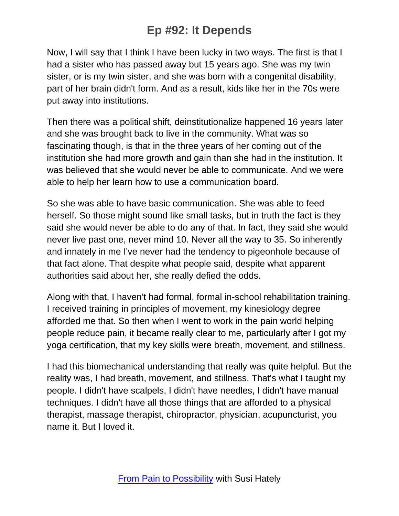Now, I will say that I think I have been lucky in two ways. The first is that I had a sister who has passed away but 15 years ago. She was my twin sister, or is my twin sister, and she was born with a congenital disability, part of her brain didn't form. And as a result, kids like her in the 70s were put away into institutions.

Then there was a political shift, deinstitutionalize happened 16 years later and she was brought back to live in the community. What was so fascinating though, is that in the three years of her coming out of the institution she had more growth and gain than she had in the institution. It was believed that she would never be able to communicate. And we were able to help her learn how to use a communication board.

So she was able to have basic communication. She was able to feed herself. So those might sound like small tasks, but in truth the fact is they said she would never be able to do any of that. In fact, they said she would never live past one, never mind 10. Never all the way to 35. So inherently and innately in me I've never had the tendency to pigeonhole because of that fact alone. That despite what people said, despite what apparent authorities said about her, she really defied the odds.

Along with that, I haven't had formal, formal in-school rehabilitation training. I received training in principles of movement, my kinesiology degree afforded me that. So then when I went to work in the pain world helping people reduce pain, it became really clear to me, particularly after I got my yoga certification, that my key skills were breath, movement, and stillness.

I had this biomechanical understanding that really was quite helpful. But the reality was, I had breath, movement, and stillness. That's what I taught my people. I didn't have scalpels, I didn't have needles, I didn't have manual techniques. I didn't have all those things that are afforded to a physical therapist, massage therapist, chiropractor, physician, acupuncturist, you name it. But I loved it.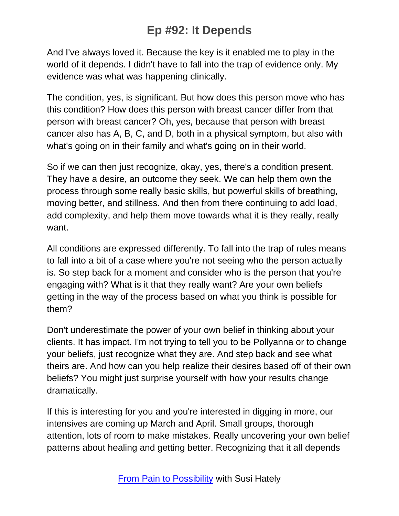And I've always loved it. Because the key is it enabled me to play in the world of it depends. I didn't have to fall into the trap of evidence only. My evidence was what was happening clinically.

The condition, yes, is significant. But how does this person move who has this condition? How does this person with breast cancer differ from that person with breast cancer? Oh, yes, because that person with breast cancer also has A, B, C, and D, both in a physical symptom, but also with what's going on in their family and what's going on in their world.

So if we can then just recognize, okay, yes, there's a condition present. They have a desire, an outcome they seek. We can help them own the process through some really basic skills, but powerful skills of breathing, moving better, and stillness. And then from there continuing to add load, add complexity, and help them move towards what it is they really, really want.

All conditions are expressed differently. To fall into the trap of rules means to fall into a bit of a case where you're not seeing who the person actually is. So step back for a moment and consider who is the person that you're engaging with? What is it that they really want? Are your own beliefs getting in the way of the process based on what you think is possible for them?

Don't underestimate the power of your own belief in thinking about your clients. It has impact. I'm not trying to tell you to be Pollyanna or to change your beliefs, just recognize what they are. And step back and see what theirs are. And how can you help realize their desires based off of their own beliefs? You might just surprise yourself with how your results change dramatically.

If this is interesting for you and you're interested in digging in more, our intensives are coming up March and April. Small groups, thorough attention, lots of room to make mistakes. Really uncovering your own belief patterns about healing and getting better. Recognizing that it all depends